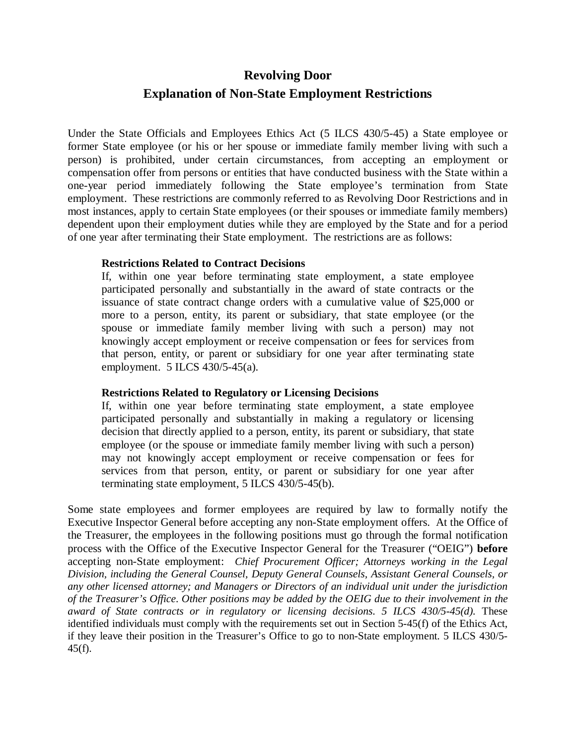# **Revolving Door**

# **Explanation of Non-State Employment Restrictions**

Under the State Officials and Employees Ethics Act (5 ILCS 430/5-45) a State employee or former State employee (or his or her spouse or immediate family member living with such a person) is prohibited, under certain circumstances, from accepting an employment or compensation offer from persons or entities that have conducted business with the State within a one-year period immediately following the State employee's termination from State employment. These restrictions are commonly referred to as Revolving Door Restrictions and in most instances, apply to certain State employees (or their spouses or immediate family members) dependent upon their employment duties while they are employed by the State and for a period of one year after terminating their State employment. The restrictions are as follows:

#### **Restrictions Related to Contract Decisions**

If, within one year before terminating state employment, a state employee participated personally and substantially in the award of state contracts or the issuance of state contract change orders with a cumulative value of \$25,000 or more to a person, entity, its parent or subsidiary, that state employee (or the spouse or immediate family member living with such a person) may not knowingly accept employment or receive compensation or fees for services from that person, entity, or parent or subsidiary for one year after terminating state employment. 5 ILCS 430/5-45(a).

## **Restrictions Related to Regulatory or Licensing Decisions**

If, within one year before terminating state employment, a state employee participated personally and substantially in making a regulatory or licensing decision that directly applied to a person, entity, its parent or subsidiary, that state employee (or the spouse or immediate family member living with such a person) may not knowingly accept employment or receive compensation or fees for services from that person, entity, or parent or subsidiary for one year after terminating state employment, 5 ILCS 430/5-45(b).

Some state employees and former employees are required by law to formally notify the Executive Inspector General before accepting any non-State employment offers. At the Office of the Treasurer, the employees in the following positions must go through the formal notification process with the Office of the Executive Inspector General for the Treasurer ("OEIG") **before** accepting non-State employment: *Chief Procurement Officer; Attorneys working in the Legal Division, including the General Counsel, Deputy General Counsels, Assistant General Counsels, or any other licensed attorney; and Managers or Directors of an individual unit under the jurisdiction of the Treasurer's Office*. *Other positions may be added by the OEIG due to their involvement in the award of State contracts or in regulatory or licensing decisions. 5 ILCS 430/5-45(d).* These identified individuals must comply with the requirements set out in Section 5-45(f) of the Ethics Act, if they leave their position in the Treasurer's Office to go to non-State employment. 5 ILCS 430/5-  $45(f)$ .